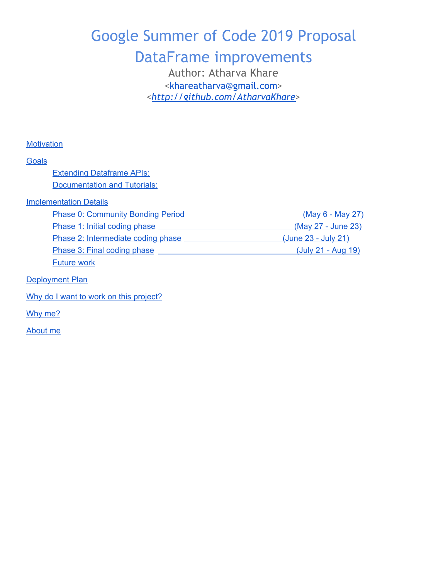# <span id="page-0-0"></span>Google Summer of Code 2019 Proposal

### DataFrame improvements

Author: Atharva Khare <[khareatharva@gmail.com>](mailto:khareatharva@gmail.com) <*<http://github.com/AtharvaKhare>*>

#### <span id="page-0-1"></span>**[Motivation](#page-1-0)**

#### **[Goals](#page-1-1)**

| <b>Extending Dataframe APIs:</b>         |                         |
|------------------------------------------|-------------------------|
| <b>Documentation and Tutorials:</b>      |                         |
| <b>Implementation Details</b>            |                         |
| <b>Phase 0: Community Bonding Period</b> | <u>(May 6 - May 27)</u> |
| Phase 1: Initial coding phase            | (May 27 - June 23)      |
| Phase 2: Intermediate coding phase       | (June 23 - July 21)     |
| Phase 3: Final coding phase              | (July 21 - Aug 19)      |
| <b>Future work</b>                       |                         |
| <b>Deployment Plan</b>                   |                         |

Why do I want to work on this [project?](#page-0-0)

[Why](#page-0-1) me?

<span id="page-0-2"></span>[About](#page-0-2) me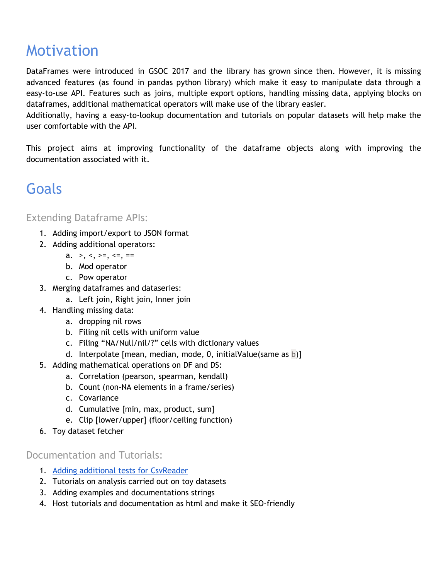## <span id="page-1-0"></span>Motivation

DataFrames were introduced in GSOC 2017 and the library has grown since then. However, it is missing advanced features (as found in pandas python library) which make it easy to manipulate data through a easy-to-use API. Features such as joins, multiple export options, handling missing data, applying blocks on dataframes, additional mathematical operators will make use of the library easier.

Additionally, having a easy-to-lookup documentation and tutorials on popular datasets will help make the user comfortable with the API.

This project aims at improving functionality of the dataframe objects along with improving the documentation associated with it.

### <span id="page-1-1"></span>Goals

### <span id="page-1-2"></span>Extending Dataframe APIs:

- 1. Adding import/export to JSON format
- 2. Adding additional operators:
	- a. >, <, >=, <=, ==
	- b. Mod operator
	- c. Pow operator
- 3. Merging dataframes and dataseries:
	- a. Left join, Right join, Inner join
- 4. Handling missing data:
	- a. dropping nil rows
	- b. Filing nil cells with uniform value
	- c. Filing "NA/Null/nil/?" cells with dictionary values
	- d. Interpolate [mean, median, mode, 0, initialValue(same as b)]
- 5. Adding mathematical operations on DF and DS:
	- a. Correlation (pearson, spearman, kendall)
	- b. Count (non-NA elements in a frame/series)
	- c. Covariance
	- d. Cumulative [min, max, product, sum]
	- e. Clip [lower/upper] (floor/ceiling function)
- 6. Toy dataset fetcher

#### <span id="page-1-3"></span>Documentation and Tutorials:

- 1. Adding additional tests for [CsvReader](https://github.com/PolyMathOrg/DataFrame/issues/65)
- 2. Tutorials on analysis carried out on toy datasets
- 3. Adding examples and documentations strings
- 4. Host tutorials and documentation as html and make it SEO-friendly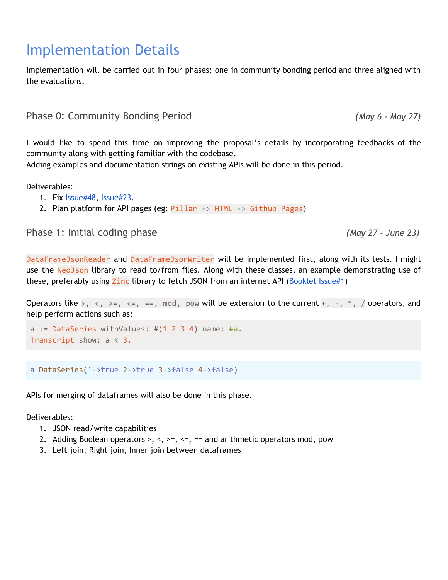## <span id="page-2-0"></span>Implementation Details

Implementation will be carried out in four phases; one in community bonding period and three aligned with the evaluations.

<span id="page-2-1"></span>Phase 0: Community Bonding Period *(May 6 - May 27)*

I would like to spend this time on improving the proposal's details by incorporating feedbacks of the community along with getting familiar with the codebase.

Adding examples and documentation strings on existing APIs will be done in this period.

Deliverables:

- 1. Fix [Issue#48,](https://github.com/PolyMathOrg/DataFrame/issues/48) [Issue#23](https://github.com/PolyMathOrg/DataFrame/issues/23).
- 2. Plan platform for API pages (eg:  $Pillar \rightarrow HTML \rightarrow Github Pages$ )

<span id="page-2-2"></span>Phase 1: Initial coding phase *(May 27 - June 23)*

DataFrameJsonReader and DataFrameJsonWriter will be implemented first, along with its tests. I might use the NeoJson library to read to/from files. Along with these classes, an example demonstrating use of these, preferably using Zinc library to fetch JSON from an internet API [\(Booklet](https://github.com/SquareBracketAssociates/Booklet-DataFrame/issues/1) Issue#1)

Operators like  $>$ ,  $\lt$ ,  $>$ =,  $\lt$ =, ==, mod, pow will be extension to the current +, -,  $*$ , / operators, and help perform actions such as:

```
a := DataSeries withValues: \#(1\ 2\ 3\ 4) name: \#a.
Transcript show: a < 3.
```
a DataSeries(1->true 2->true 3->false 4->false)

APIs for merging of dataframes will also be done in this phase.

Deliverables:

- 1. JSON read/write capabilities
- 2. Adding Boolean operators >, <, >=, <=, == and arithmetic operators mod, pow
- 3. Left join, Right join, Inner join between dataframes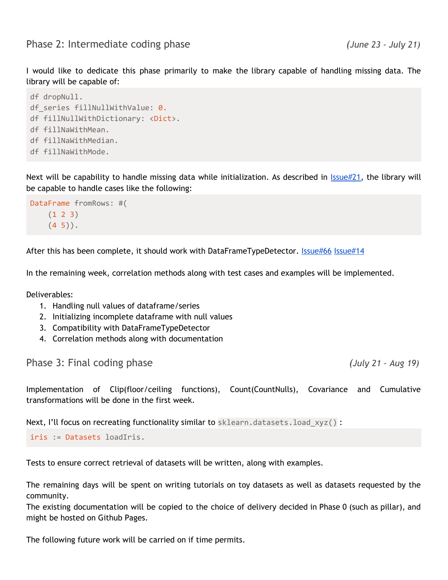<span id="page-3-0"></span>I would like to dedicate this phase primarily to make the library capable of handling missing data. The library will be capable of:

```
df dropNull.
df series fillNullWithValue: 0.
df fillNullWithDictionary: <Dict>.
df fillNaWithMean.
df fillNaWithMedian.
df fillNaWithMode.
```
Next will be capability to handle missing data while initialization. As described in *Issue#21*, the library will be capable to handle cases like the following:

```
DataFrame fromRows: #(
    (1 \ 2 \ 3)(4 5).
```
After this has been complete, it should work with DataFrameTypeDetector. [Issue#66](https://github.com/PolyMathOrg/DataFrame/issues/66) [Issue#14](https://github.com/PolyMathOrg/DataFrame/issues/14)

In the remaining week, correlation methods along with test cases and examples will be implemented.

Deliverables:

- 1. Handling null values of dataframe/series
- 2. Initializing incomplete dataframe with null values
- 3. Compatibility with DataFrameTypeDetector
- 4. Correlation methods along with documentation

<span id="page-3-1"></span>Phase 3: Final coding phase *(July 21 - Aug 19)*

Implementation of Clip(floor/ceiling functions), Count(CountNulls), Covariance and Cumulative transformations will be done in the first week.

Next, I'll focus on recreating functionality similar to sklearn.datasets.load\_xyz():

```
iris := Datasets loadIris.
```
Tests to ensure correct retrieval of datasets will be written, along with examples.

The remaining days will be spent on writing tutorials on toy datasets as well as datasets requested by the community.

The existing documentation will be copied to the choice of delivery decided in Phase 0 (such as pillar), and might be hosted on Github Pages.

The following future work will be carried on if time permits.